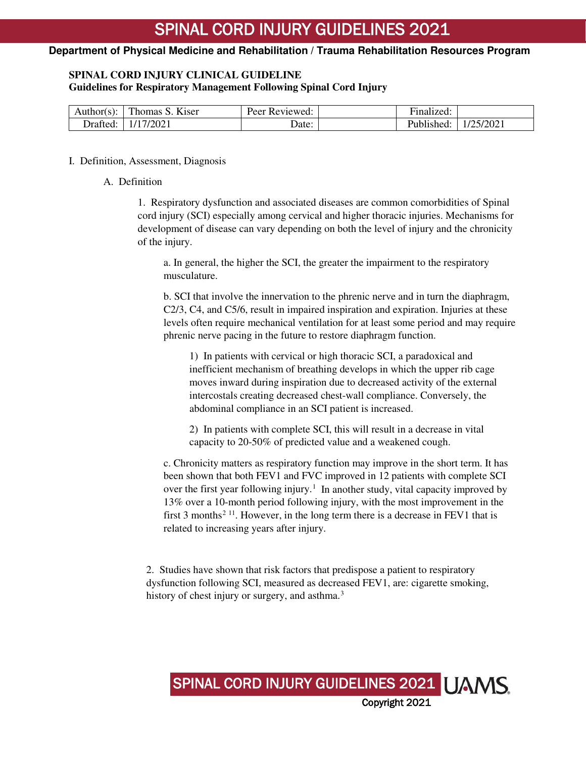## **SPINAL CORD INJURY CLINICAL GUIDELINE**

**Guidelines for Respiratory Management Following Spinal Cord Injury** 

| Author(s): | Thomas S. Kiser | Peer Reviewed: | Finalized: |           |
|------------|-----------------|----------------|------------|-----------|
| Drafted:   | 1/17/2021       | Date:          | Published: | 1/25/2021 |

## I. Definition, Assessment, Diagnosis

## A. Definition

1. Respiratory dysfunction and associated diseases are common comorbidities of Spinal cord injury (SCI) especially among cervical and higher thoracic injuries. Mechanisms for development of disease can vary depending on both the level of injury and the chronicity of the injury.

a. In general, the higher the SCI, the greater the impairment to the respiratory musculature.

b. SCI that involve the innervation to the phrenic nerve and in turn the diaphragm, C2/3, C4, and C5/6, result in impaired inspiration and expiration. Injuries at these levels often require mechanical ventilation for at least some period and may require phrenic nerve pacing in the future to restore diaphragm function.

1) In patients with cervical or high thoracic SCI, a paradoxical and inefficient mechanism of breathing develops in which the upper rib cage moves inward during inspiration due to decreased activity of the external intercostals creating decreased chest-wall compliance. Conversely, the abdominal compliance in an SCI patient is increased.

2) In patients with complete SCI, this will result in a decrease in vital capacity to 20-50% of predicted value and a weakened cough.

c. Chronicity matters as respiratory function may improve in the short term. It has been shown that both FEV1 and FVC improved in 12 patients with complete SCI over the first year following injury.<sup>[1](#page-15-0)</sup> In another study, vital capacity improved by 13% over a 10-month period following injury, with the most improvement in the first 3 months<sup>[2](#page-15-1) 11</sup>. However, in the long term there is a decrease in FEV1 that is related to increasing years after injury.

2. Studies have shown that risk factors that predispose a patient to respiratory dysfunction following SCI, measured as decreased FEV1, are: cigarette smoking, history of chest injury or surgery, and asthma.<sup>[3](#page-15-2)</sup>

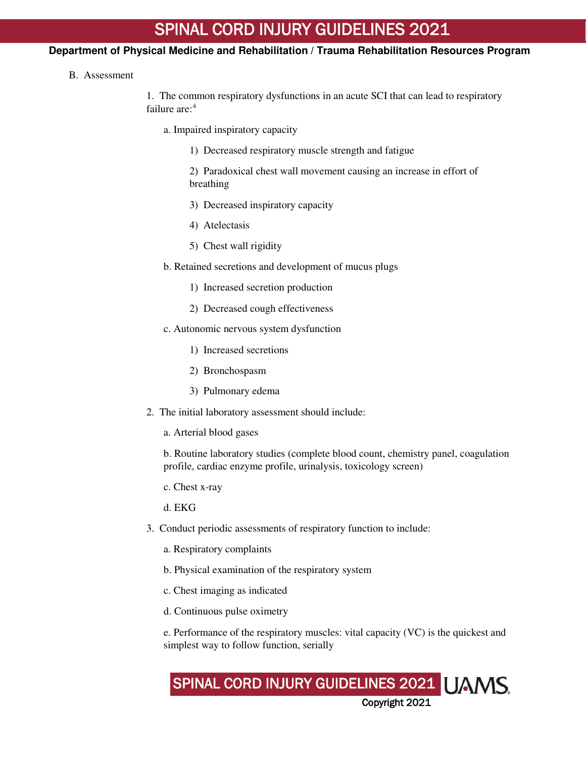## **Department of Physical Medicine and Rehabilitation / Trauma Rehabilitation Resources Program**

B. Assessment

1. The common respiratory dysfunctions in an acute SCI that can lead to respiratory failure are<sup>-[4](#page-15-3)</sup>

- a. Impaired inspiratory capacity
	- 1) Decreased respiratory muscle strength and fatigue
	- 2) Paradoxical chest wall movement causing an increase in effort of breathing
	- 3) Decreased inspiratory capacity
	- 4) Atelectasis
	- 5) Chest wall rigidity
- b. Retained secretions and development of mucus plugs
	- 1) Increased secretion production
	- 2) Decreased cough effectiveness
- c. Autonomic nervous system dysfunction
	- 1) Increased secretions
	- 2) Bronchospasm
	- 3) Pulmonary edema
- 2. The initial laboratory assessment should include:
	- a. Arterial blood gases

b. Routine laboratory studies (complete blood count, chemistry panel, coagulation profile, cardiac enzyme profile, urinalysis, toxicology screen)

c. Chest x-ray

d. EKG

- 3. Conduct periodic assessments of respiratory function to include:
	- a. Respiratory complaints
	- b. Physical examination of the respiratory system
	- c. Chest imaging as indicated
	- d. Continuous pulse oximetry

e. Performance of the respiratory muscles: vital capacity (VC) is the quickest and simplest way to follow function, serially

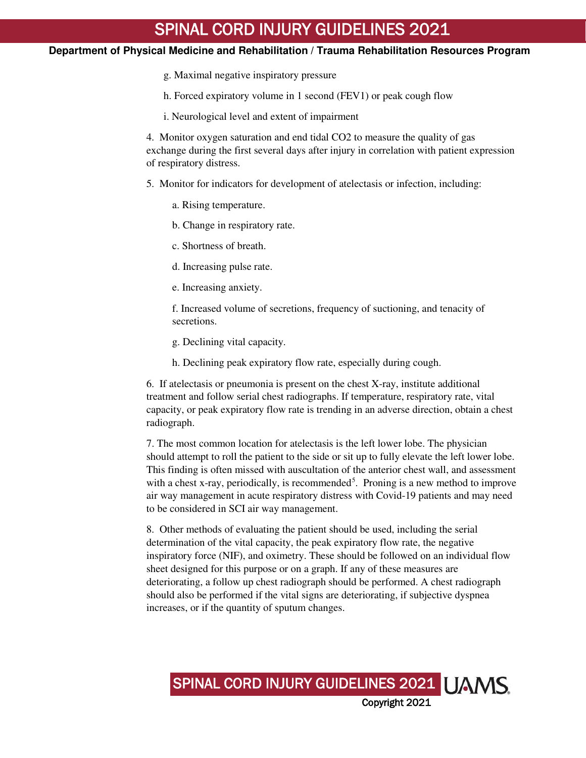## **Department of Physical Medicine and Rehabilitation / Trauma Rehabilitation Resources Program**

- g. Maximal negative inspiratory pressure
- h. Forced expiratory volume in 1 second (FEV1) or peak cough flow
- i. Neurological level and extent of impairment

4. Monitor oxygen saturation and end tidal CO2 to measure the quality of gas exchange during the first several days after injury in correlation with patient expression of respiratory distress.

5. Monitor for indicators for development of atelectasis or infection, including:

- a. Rising temperature.
- b. Change in respiratory rate.
- c. Shortness of breath.
- d. Increasing pulse rate.
- e. Increasing anxiety.

f. Increased volume of secretions, frequency of suctioning, and tenacity of secretions.

- g. Declining vital capacity.
- h. Declining peak expiratory flow rate, especially during cough.

6. If atelectasis or pneumonia is present on the chest X-ray, institute additional treatment and follow serial chest radiographs. If temperature, respiratory rate, vital capacity, or peak expiratory flow rate is trending in an adverse direction, obtain a chest radiograph.

7. The most common location for atelectasis is the left lower lobe. The physician should attempt to roll the patient to the side or sit up to fully elevate the left lower lobe. This finding is often missed with auscultation of the anterior chest wall, and assessment with a chest x-ray, periodically, is recommended<sup>[5](#page-15-4)</sup>. Proning is a new method to improve air way management in acute respiratory distress with Covid-19 patients and may need to be considered in SCI air way management.

8. Other methods of evaluating the patient should be used, including the serial determination of the vital capacity, the peak expiratory flow rate, the negative inspiratory force (NIF), and oximetry. These should be followed on an individual flow sheet designed for this purpose or on a graph. If any of these measures are deteriorating, a follow up chest radiograph should be performed. A chest radiograph should also be performed if the vital signs are deteriorating, if subjective dyspnea increases, or if the quantity of sputum changes.

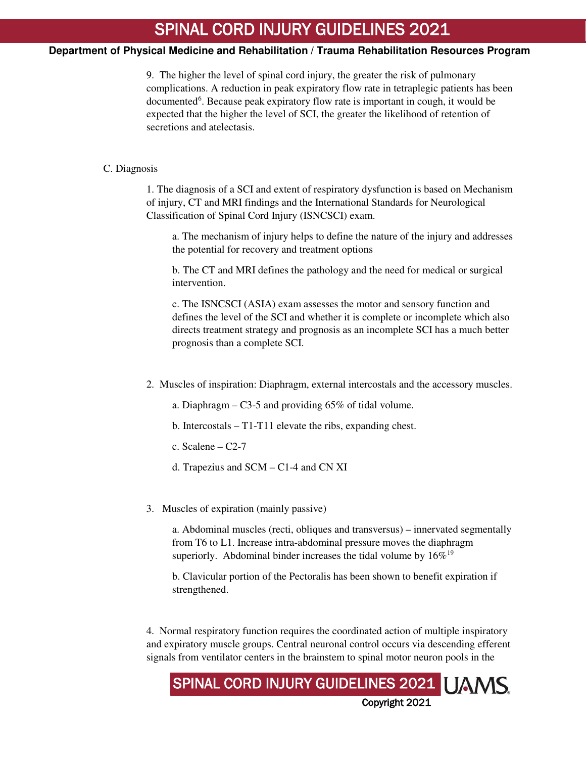## **Department of Physical Medicine and Rehabilitation / Trauma Rehabilitation Resources Program**

9. The higher the level of spinal cord injury, the greater the risk of pulmonary complications. A reduction in peak expiratory flow rate in tetraplegic patients has been documented<sup>[6](#page-15-5)</sup>. Because peak expiratory flow rate is important in cough, it would be expected that the higher the level of SCI, the greater the likelihood of retention of secretions and atelectasis.

#### C. Diagnosis

1. The diagnosis of a SCI and extent of respiratory dysfunction is based on Mechanism of injury, CT and MRI findings and the International Standards for Neurological Classification of Spinal Cord Injury (ISNCSCI) exam.

a. The mechanism of injury helps to define the nature of the injury and addresses the potential for recovery and treatment options

b. The CT and MRI defines the pathology and the need for medical or surgical intervention.

c. The ISNCSCI (ASIA) exam assesses the motor and sensory function and defines the level of the SCI and whether it is complete or incomplete which also directs treatment strategy and prognosis as an incomplete SCI has a much better prognosis than a complete SCI.

- 2. Muscles of inspiration: Diaphragm, external intercostals and the accessory muscles.
	- a. Diaphragm C3-5 and providing 65% of tidal volume.
	- b. Intercostals T1-T11 elevate the ribs, expanding chest.
	- c. Scalene  $-$  C2-7
	- d. Trapezius and SCM C1-4 and CN XI
- 3. Muscles of expiration (mainly passive)

a. Abdominal muscles (recti, obliques and transversus) – innervated segmentally from T6 to L1. Increase intra-abdominal pressure moves the diaphragm superiorly. Abdominal binder increases the tidal volume by  $16\%^{19}$ 

b. Clavicular portion of the Pectoralis has been shown to benefit expiration if strengthened.

4. Normal respiratory function requires the coordinated action of multiple inspiratory and expiratory muscle groups. Central neuronal control occurs via descending efferent signals from ventilator centers in the brainstem to spinal motor neuron pools in the

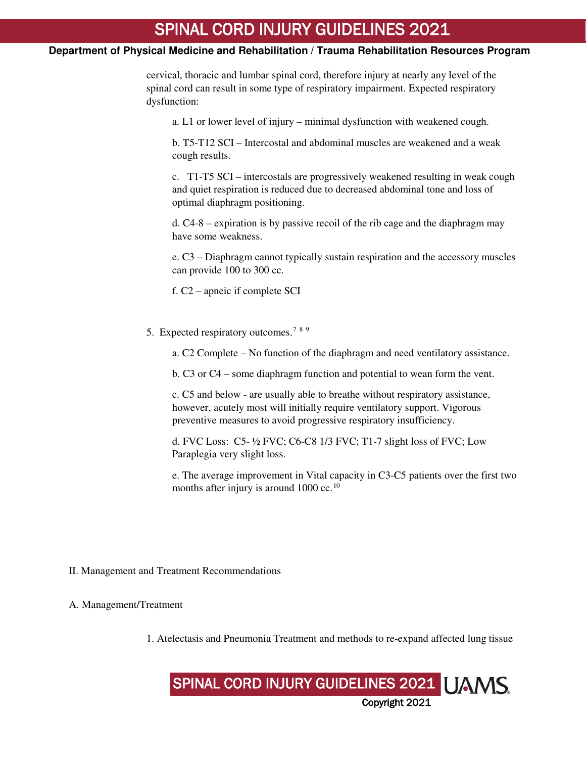## **Department of Physical Medicine and Rehabilitation / Trauma Rehabilitation Resources Program**

cervical, thoracic and lumbar spinal cord, therefore injury at nearly any level of the spinal cord can result in some type of respiratory impairment. Expected respiratory dysfunction:

a. L1 or lower level of injury – minimal dysfunction with weakened cough.

b. T5-T12 SCI – Intercostal and abdominal muscles are weakened and a weak cough results.

c. T1-T5 SCI – intercostals are progressively weakened resulting in weak cough and quiet respiration is reduced due to decreased abdominal tone and loss of optimal diaphragm positioning.

d. C4-8 – expiration is by passive recoil of the rib cage and the diaphragm may have some weakness.

e. C3 – Diaphragm cannot typically sustain respiration and the accessory muscles can provide 100 to 300 cc.

f. C2 – apneic if complete SCI

5. Expected respiratory outcomes.<sup>[7](#page-16-0)[8](#page-16-1)[9](#page-16-2)</sup>

a. C2 Complete – No function of the diaphragm and need ventilatory assistance.

b. C3 or C4 – some diaphragm function and potential to wean form the vent.

c. C5 and below - are usually able to breathe without respiratory assistance, however, acutely most will initially require ventilatory support. Vigorous preventive measures to avoid progressive respiratory insufficiency.

d. FVC Loss: C5- ½ FVC; C6-C8 1/3 FVC; T1-7 slight loss of FVC; Low Paraplegia very slight loss.

e. The average improvement in Vital capacity in C3-C5 patients over the first two months after injury is around  $1000 \text{ cc.}^{10}$  $1000 \text{ cc.}^{10}$ 

II. Management and Treatment Recommendations

A. Management/Treatment

1. Atelectasis and Pneumonia Treatment and methods to re-expand affected lung tissue

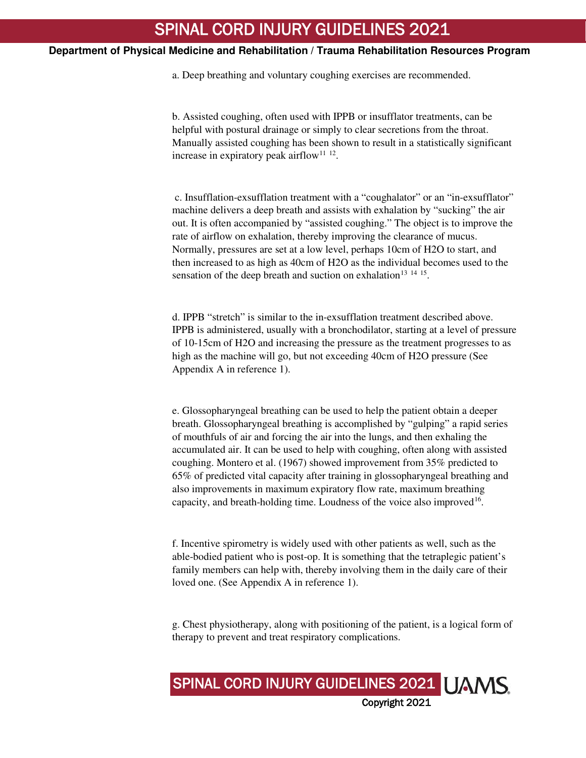a. Deep breathing and voluntary coughing exercises are recommended.

b. Assisted coughing, often used with IPPB or insufflator treatments, can be helpful with postural drainage or simply to clear secretions from the throat. Manually assisted coughing has been shown to result in a statistically significant increase in expiratory peak airflow<sup>[11](#page-16-4) [12](#page-16-5)</sup>.

 c. Insufflation-exsufflation treatment with a "coughalator" or an "in-exsufflator" machine delivers a deep breath and assists with exhalation by "sucking" the air out. It is often accompanied by "assisted coughing." The object is to improve the rate of airflow on exhalation, thereby improving the clearance of mucus. Normally, pressures are set at a low level, perhaps 10cm of H2O to start, and then increased to as high as 40cm of H2O as the individual becomes used to the sensation of the deep breath and suction on exhalation<sup>[13](#page-16-6)</sup>  $14 \frac{15}{15}$  $14 \frac{15}{15}$  $14 \frac{15}{15}$  $14 \frac{15}{15}$ .

d. IPPB "stretch" is similar to the in-exsufflation treatment described above. IPPB is administered, usually with a bronchodilator, starting at a level of pressure of 10-15cm of H2O and increasing the pressure as the treatment progresses to as high as the machine will go, but not exceeding 40cm of H2O pressure (See Appendix A in reference 1).

e. Glossopharyngeal breathing can be used to help the patient obtain a deeper breath. Glossopharyngeal breathing is accomplished by "gulping" a rapid series of mouthfuls of air and forcing the air into the lungs, and then exhaling the accumulated air. It can be used to help with coughing, often along with assisted coughing. Montero et al. (1967) showed improvement from 35% predicted to 65% of predicted vital capacity after training in glossopharyngeal breathing and also improvements in maximum expiratory flow rate, maximum breathing capacity, and breath-holding time. Loudness of the voice also improved<sup>[16](#page-16-9)</sup>.

f. Incentive spirometry is widely used with other patients as well, such as the able-bodied patient who is post-op. It is something that the tetraplegic patient's family members can help with, thereby involving them in the daily care of their loved one. (See Appendix A in reference 1).

g. Chest physiotherapy, along with positioning of the patient, is a logical form of therapy to prevent and treat respiratory complications.

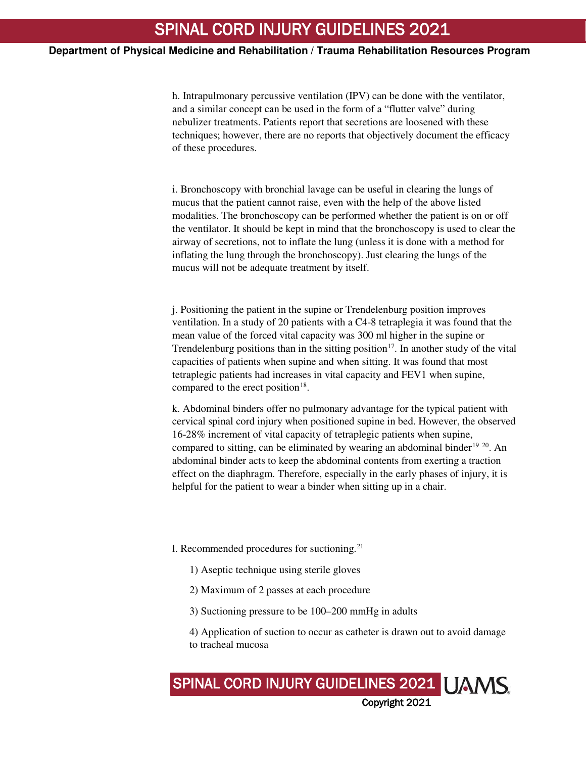h. Intrapulmonary percussive ventilation (IPV) can be done with the ventilator, and a similar concept can be used in the form of a "flutter valve" during nebulizer treatments. Patients report that secretions are loosened with these techniques; however, there are no reports that objectively document the efficacy of these procedures.

i. Bronchoscopy with bronchial lavage can be useful in clearing the lungs of mucus that the patient cannot raise, even with the help of the above listed modalities. The bronchoscopy can be performed whether the patient is on or off the ventilator. It should be kept in mind that the bronchoscopy is used to clear the airway of secretions, not to inflate the lung (unless it is done with a method for inflating the lung through the bronchoscopy). Just clearing the lungs of the mucus will not be adequate treatment by itself.

j. Positioning the patient in the supine or Trendelenburg position improves ventilation. In a study of 20 patients with a C4-8 tetraplegia it was found that the mean value of the forced vital capacity was 300 ml higher in the supine or Trendelenburg positions than in the sitting position<sup>[17](#page-16-10)</sup>. In another study of the vital capacities of patients when supine and when sitting. It was found that most tetraplegic patients had increases in vital capacity and FEV1 when supine, compared to the erect position<sup>[18](#page-16-11)</sup>.

k. Abdominal binders offer no pulmonary advantage for the typical patient with cervical spinal cord injury when positioned supine in bed. However, the observed 16-28% increment of vital capacity of tetraplegic patients when supine, compared to sitting, can be eliminated by wearing an abdominal binder<sup>[19](#page-16-12) [20](#page-16-13)</sup>. An abdominal binder acts to keep the abdominal contents from exerting a traction effect on the diaphragm. Therefore, especially in the early phases of injury, it is helpful for the patient to wear a binder when sitting up in a chair.

- l. Recommended procedures for suctioning. $^{21}$  $^{21}$  $^{21}$ 
	- 1) Aseptic technique using sterile gloves
	- 2) Maximum of 2 passes at each procedure
	- 3) Suctioning pressure to be 100–200 mmHg in adults

4) Application of suction to occur as catheter is drawn out to avoid damage to tracheal mucosa

SPINAL CORD INJURY GUIDELINES 2021 | JAMS Copyright 2021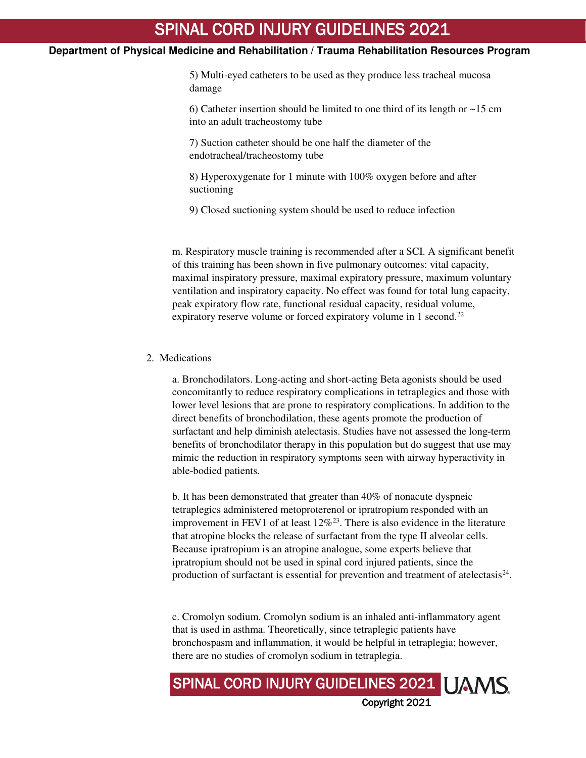## **Department of Physical Medicine and Rehabilitation / Trauma Rehabilitation Resources Program**

5) Multi-eyed catheters to be used as they produce less tracheal mucosa damage

6) Catheter insertion should be limited to one third of its length or ~15 cm into an adult tracheostomy tube

7) Suction catheter should be one half the diameter of the endotracheal/tracheostomy tube

8) Hyperoxygenate for 1 minute with 100% oxygen before and after suctioning

9) Closed suctioning system should be used to reduce infection

m. Respiratory muscle training is recommended after a SCI. A significant benefit of this training has been shown in five pulmonary outcomes: vital capacity, maximal inspiratory pressure, maximal expiratory pressure, maximum voluntary ventilation and inspiratory capacity. No effect was found for total lung capacity, peak expiratory flow rate, functional residual capacity, residual volume, expiratory reserve volume or forced expiratory volume in 1 second.<sup>[22](#page-16-15)</sup>

### 2. Medications

a. Bronchodilators. Long-acting and short-acting Beta agonists should be used concomitantly to reduce respiratory complications in tetraplegics and those with lower level lesions that are prone to respiratory complications. In addition to the direct benefits of bronchodilation, these agents promote the production of surfactant and help diminish atelectasis. Studies have not assessed the long-term benefits of bronchodilator therapy in this population but do suggest that use may mimic the reduction in respiratory symptoms seen with airway hyperactivity in able-bodied patients.

b. It has been demonstrated that greater than 40% of nonacute dyspneic tetraplegics administered metoproterenol or ipratropium responded with an improvement in FEV1 of at least  $12\%^{23}$  $12\%^{23}$  $12\%^{23}$ . There is also evidence in the literature that atropine blocks the release of surfactant from the type II alveolar cells. Because ipratropium is an atropine analogue, some experts believe that ipratropium should not be used in spinal cord injured patients, since the production of surfactant is essential for prevention and treatment of atelectasis $24$ .

c. Cromolyn sodium. Cromolyn sodium is an inhaled anti-inflammatory agent that is used in asthma. Theoretically, since tetraplegic patients have bronchospasm and inflammation, it would be helpful in tetraplegia; however, there are no studies of cromolyn sodium in tetraplegia.

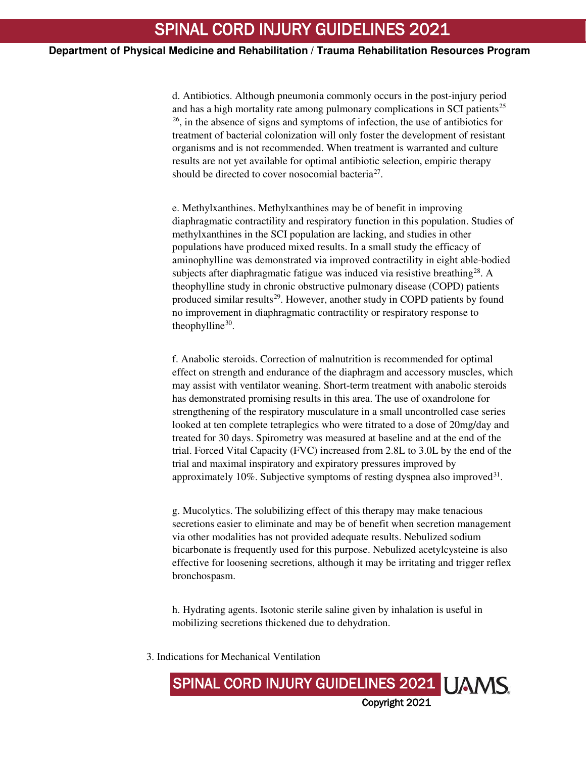d. Antibiotics. Although pneumonia commonly occurs in the post-injury period and has a high mortality rate among pulmonary complications in SCI patients<sup>[25](#page-17-0)</sup> [26](#page-17-1), in the absence of signs and symptoms of infection, the use of antibiotics for treatment of bacterial colonization will only foster the development of resistant organisms and is not recommended. When treatment is warranted and culture results are not yet available for optimal antibiotic selection, empiric therapy should be directed to cover nosocomial bacteria<sup>[27](#page-17-2)</sup>.

e. Methylxanthines. Methylxanthines may be of benefit in improving diaphragmatic contractility and respiratory function in this population. Studies of methylxanthines in the SCI population are lacking, and studies in other populations have produced mixed results. In a small study the efficacy of aminophylline was demonstrated via improved contractility in eight able-bodied subjects after diaphragmatic fatigue was induced via resistive breathing<sup>[28](#page-17-3)</sup>. A theophylline study in chronic obstructive pulmonary disease (COPD) patients produced similar results<sup>[29](#page-17-4)</sup>. However, another study in COPD patients by found no improvement in diaphragmatic contractility or respiratory response to theophylline $30$ .

f. Anabolic steroids. Correction of malnutrition is recommended for optimal effect on strength and endurance of the diaphragm and accessory muscles, which may assist with ventilator weaning. Short-term treatment with anabolic steroids has demonstrated promising results in this area. The use of oxandrolone for strengthening of the respiratory musculature in a small uncontrolled case series looked at ten complete tetraplegics who were titrated to a dose of 20mg/day and treated for 30 days. Spirometry was measured at baseline and at the end of the trial. Forced Vital Capacity (FVC) increased from 2.8L to 3.0L by the end of the trial and maximal inspiratory and expiratory pressures improved by approximately  $10\%$ . Subjective symptoms of resting dyspnea also improved<sup>[31](#page-17-6)</sup>.

g. Mucolytics. The solubilizing effect of this therapy may make tenacious secretions easier to eliminate and may be of benefit when secretion management via other modalities has not provided adequate results. Nebulized sodium bicarbonate is frequently used for this purpose. Nebulized acetylcysteine is also effective for loosening secretions, although it may be irritating and trigger reflex bronchospasm.

h. Hydrating agents. Isotonic sterile saline given by inhalation is useful in mobilizing secretions thickened due to dehydration.

SPINAL CORD INJURY GUIDELINES 2021 | JAMS

Copyright 2021

3. Indications for Mechanical Ventilation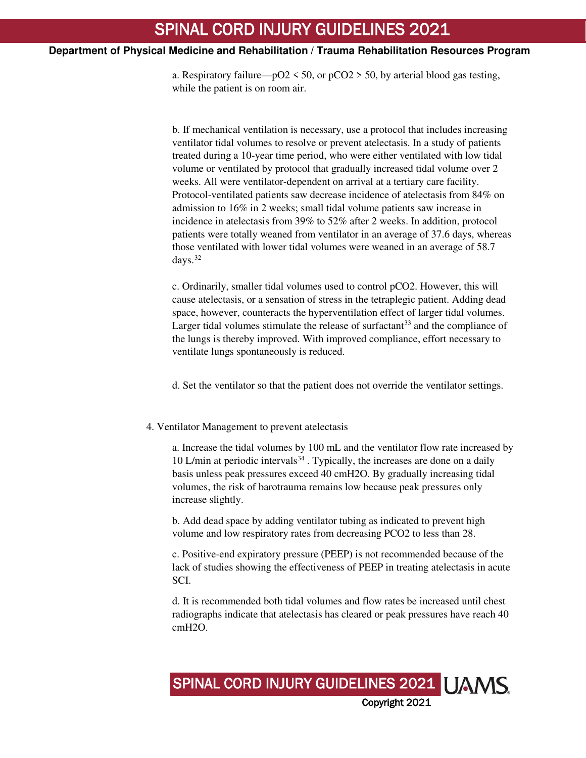a. Respiratory failure— $pO2 \le 50$ , or  $pCO2 \ge 50$ , by arterial blood gas testing, while the patient is on room air.

b. If mechanical ventilation is necessary, use a protocol that includes increasing ventilator tidal volumes to resolve or prevent atelectasis. In a study of patients treated during a 10-year time period, who were either ventilated with low tidal volume or ventilated by protocol that gradually increased tidal volume over 2 weeks. All were ventilator-dependent on arrival at a tertiary care facility. Protocol-ventilated patients saw decrease incidence of atelectasis from 84% on admission to 16% in 2 weeks; small tidal volume patients saw increase in incidence in atelectasis from 39% to 52% after 2 weeks. In addition, protocol patients were totally weaned from ventilator in an average of 37.6 days, whereas those ventilated with lower tidal volumes were weaned in an average of 58.7 days.[32](#page-17-7)

c. Ordinarily, smaller tidal volumes used to control pCO2. However, this will cause atelectasis, or a sensation of stress in the tetraplegic patient. Adding dead space, however, counteracts the hyperventilation effect of larger tidal volumes. Larger tidal volumes stimulate the release of surfactant<sup>[33](#page-17-8)</sup> and the compliance of the lungs is thereby improved. With improved compliance, effort necessary to ventilate lungs spontaneously is reduced.

d. Set the ventilator so that the patient does not override the ventilator settings.

## 4. Ventilator Management to prevent atelectasis

a. Increase the tidal volumes by 100 mL and the ventilator flow rate increased by 10 L/min at periodic intervals $34$ . Typically, the increases are done on a daily basis unless peak pressures exceed 40 cmH2O. By gradually increasing tidal volumes, the risk of barotrauma remains low because peak pressures only increase slightly.

b. Add dead space by adding ventilator tubing as indicated to prevent high volume and low respiratory rates from decreasing PCO2 to less than 28.

c. Positive-end expiratory pressure (PEEP) is not recommended because of the lack of studies showing the effectiveness of PEEP in treating atelectasis in acute SCI.

d. It is recommended both tidal volumes and flow rates be increased until chest radiographs indicate that atelectasis has cleared or peak pressures have reach 40 cmH2O.

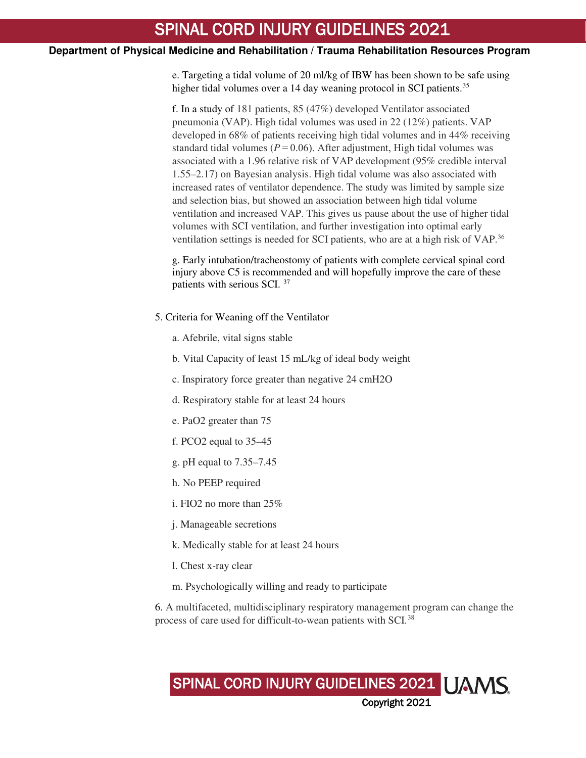e. Targeting a tidal volume of 20 ml/kg of IBW has been shown to be safe using higher tidal volumes over a 14 day weaning protocol in SCI patients.<sup>[35](#page-17-10)</sup>

f. In a study of 181 patients, 85 (47%) developed Ventilator associated pneumonia (VAP). High tidal volumes was used in 22 (12%) patients. VAP developed in 68% of patients receiving high tidal volumes and in 44% receiving standard tidal volumes ( $P = 0.06$ ). After adjustment, High tidal volumes was associated with a 1.96 relative risk of VAP development (95% credible interval 1.55–2.17) on Bayesian analysis. High tidal volume was also associated with increased rates of ventilator dependence. The study was limited by sample size and selection bias, but showed an association between high tidal volume ventilation and increased VAP. This gives us pause about the use of higher tidal volumes with SCI ventilation, and further investigation into optimal early ventilation settings is needed for SCI patients, who are at a high risk of VAP.[36](#page-17-11)

g. Early intubation/tracheostomy of patients with complete cervical spinal cord injury above C5 is recommended and will hopefully improve the care of these patients with serious SCI.<sup>[37](#page-17-12)</sup>

- 5. Criteria for Weaning off the Ventilator
	- a. Afebrile, vital signs stable
	- b. Vital Capacity of least 15 mL/kg of ideal body weight
	- c. Inspiratory force greater than negative 24 cmH2O
	- d. Respiratory stable for at least 24 hours
	- e. PaO2 greater than 75
	- f. PCO2 equal to 35–45
	- g. pH equal to 7.35–7.45
	- h. No PEEP required
	- i. FIO2 no more than 25%
	- j. Manageable secretions
	- k. Medically stable for at least 24 hours
	- l. Chest x-ray clear
	- m. Psychologically willing and ready to participate

6. A multifaceted, multidisciplinary respiratory management program can change the process of care used for difficult-to-wean patients with SCI.<sup>[38](#page-17-13)</sup>

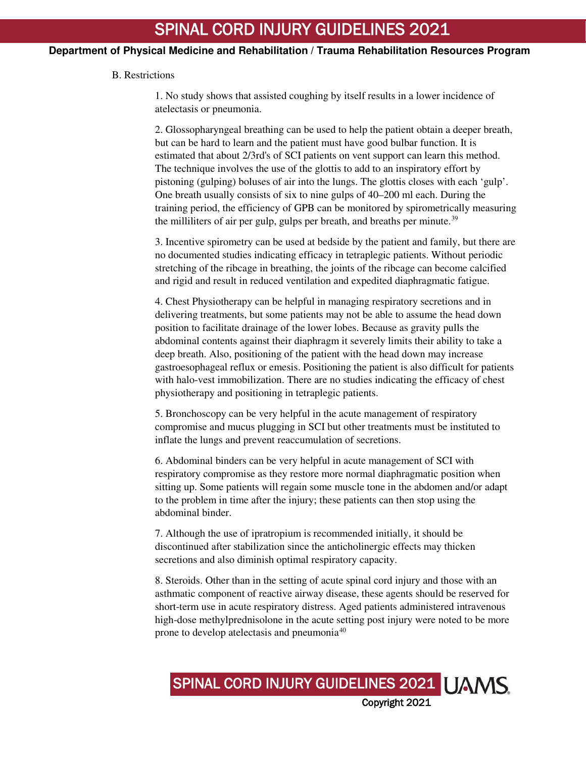## **Department of Physical Medicine and Rehabilitation / Trauma Rehabilitation Resources Program**

#### B. Restrictions

1. No study shows that assisted coughing by itself results in a lower incidence of atelectasis or pneumonia.

2. Glossopharyngeal breathing can be used to help the patient obtain a deeper breath, but can be hard to learn and the patient must have good bulbar function. It is estimated that about 2/3rd's of SCI patients on vent support can learn this method. The technique involves the use of the glottis to add to an inspiratory effort by pistoning (gulping) boluses of air into the lungs. The glottis closes with each 'gulp'. One breath usually consists of six to nine gulps of 40–200 ml each. During the training period, the efficiency of GPB can be monitored by spirometrically measuring the milliliters of air per gulp, gulps per breath, and breaths per minute.<sup>[39](#page-17-14)</sup>

3. Incentive spirometry can be used at bedside by the patient and family, but there are no documented studies indicating efficacy in tetraplegic patients. Without periodic stretching of the ribcage in breathing, the joints of the ribcage can become calcified and rigid and result in reduced ventilation and expedited diaphragmatic fatigue.

4. Chest Physiotherapy can be helpful in managing respiratory secretions and in delivering treatments, but some patients may not be able to assume the head down position to facilitate drainage of the lower lobes. Because as gravity pulls the abdominal contents against their diaphragm it severely limits their ability to take a deep breath. Also, positioning of the patient with the head down may increase gastroesophageal reflux or emesis. Positioning the patient is also difficult for patients with halo-vest immobilization. There are no studies indicating the efficacy of chest physiotherapy and positioning in tetraplegic patients.

5. Bronchoscopy can be very helpful in the acute management of respiratory compromise and mucus plugging in SCI but other treatments must be instituted to inflate the lungs and prevent reaccumulation of secretions.

6. Abdominal binders can be very helpful in acute management of SCI with respiratory compromise as they restore more normal diaphragmatic position when sitting up. Some patients will regain some muscle tone in the abdomen and/or adapt to the problem in time after the injury; these patients can then stop using the abdominal binder.

7. Although the use of ipratropium is recommended initially, it should be discontinued after stabilization since the anticholinergic effects may thicken secretions and also diminish optimal respiratory capacity.

8. Steroids. Other than in the setting of acute spinal cord injury and those with an asthmatic component of reactive airway disease, these agents should be reserved for short-term use in acute respiratory distress. Aged patients administered intravenous high-dose methylprednisolone in the acute setting post injury were noted to be more prone to develop atelectasis and pneumonia[40](#page-18-0)

SPINAL CORD INJURY GUIDELINES 2021 | JAMS

Copyright 2021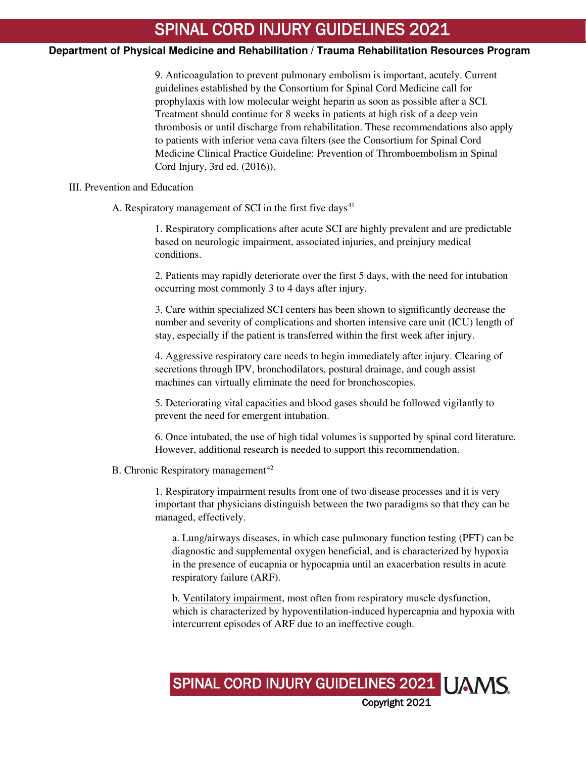## **Department of Physical Medicine and Rehabilitation / Trauma Rehabilitation Resources Program**

9. Anticoagulation to prevent pulmonary embolism is important, acutely. Current guidelines established by the Consortium for Spinal Cord Medicine call for prophylaxis with low molecular weight heparin as soon as possible after a SCI. Treatment should continue for 8 weeks in patients at high risk of a deep vein thrombosis or until discharge from rehabilitation. These recommendations also apply to patients with inferior vena cava filters (see the Consortium for Spinal Cord Medicine Clinical Practice Guideline: Prevention of Thromboembolism in Spinal Cord Injury, 3rd ed. (2016)).

#### III. Prevention and Education

A. Respiratory management of SCI in the first five days<sup>[41](#page-18-1)</sup>

1. Respiratory complications after acute SCI are highly prevalent and are predictable based on neurologic impairment, associated injuries, and preinjury medical conditions.

2. Patients may rapidly deteriorate over the first 5 days, with the need for intubation occurring most commonly 3 to 4 days after injury.

3. Care within specialized SCI centers has been shown to significantly decrease the number and severity of complications and shorten intensive care unit (ICU) length of stay, especially if the patient is transferred within the first week after injury.

4. Aggressive respiratory care needs to begin immediately after injury. Clearing of secretions through IPV, bronchodilators, postural drainage, and cough assist machines can virtually eliminate the need for bronchoscopies.

5. Deteriorating vital capacities and blood gases should be followed vigilantly to prevent the need for emergent intubation.

6. Once intubated, the use of high tidal volumes is supported by spinal cord literature. However, additional research is needed to support this recommendation.

#### B. Chronic Respiratory management<sup>[42](#page-18-2)</sup>

1. Respiratory impairment results from one of two disease processes and it is very important that physicians distinguish between the two paradigms so that they can be managed, effectively.

a. Lung/airways diseases, in which case pulmonary function testing (PFT) can be diagnostic and supplemental oxygen beneficial, and is characterized by hypoxia in the presence of eucapnia or hypocapnia until an exacerbation results in acute respiratory failure (ARF).

b. Ventilatory impairment, most often from respiratory muscle dysfunction, which is characterized by hypoventilation-induced hypercapnia and hypoxia with intercurrent episodes of ARF due to an ineffective cough.

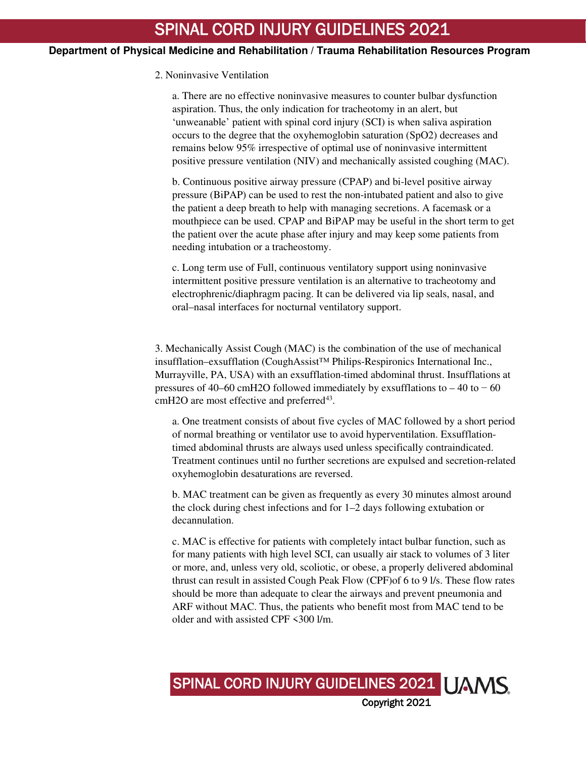## 2. Noninvasive Ventilation

a. There are no effective noninvasive measures to counter bulbar dysfunction aspiration. Thus, the only indication for tracheotomy in an alert, but 'unweanable' patient with spinal cord injury (SCI) is when saliva aspiration occurs to the degree that the oxyhemoglobin saturation (SpO2) decreases and remains below 95% irrespective of optimal use of noninvasive intermittent positive pressure ventilation (NIV) and mechanically assisted coughing (MAC).

b. Continuous positive airway pressure (CPAP) and bi-level positive airway pressure (BiPAP) can be used to rest the non-intubated patient and also to give the patient a deep breath to help with managing secretions. A facemask or a mouthpiece can be used. CPAP and BiPAP may be useful in the short term to get the patient over the acute phase after injury and may keep some patients from needing intubation or a tracheostomy.

c. Long term use of Full, continuous ventilatory support using noninvasive intermittent positive pressure ventilation is an alternative to tracheotomy and electrophrenic/diaphragm pacing. It can be delivered via lip seals, nasal, and oral–nasal interfaces for nocturnal ventilatory support.

3. Mechanically Assist Cough (MAC) is the combination of the use of mechanical insufflation–exsufflation (CoughAssist™ Philips-Respironics International Inc., Murrayville, PA, USA) with an exsufflation-timed abdominal thrust. Insufflations at pressures of 40–60 cmH2O followed immediately by exsufflations to – 40 to  $-60$  $cmH2O$  are most effective and preferred<sup>[43](#page-18-3)</sup>.

a. One treatment consists of about five cycles of MAC followed by a short period of normal breathing or ventilator use to avoid hyperventilation. Exsufflationtimed abdominal thrusts are always used unless specifically contraindicated. Treatment continues until no further secretions are expulsed and secretion-related oxyhemoglobin desaturations are reversed.

b. MAC treatment can be given as frequently as every 30 minutes almost around the clock during chest infections and for 1–2 days following extubation or decannulation.

c. MAC is effective for patients with completely intact bulbar function, such as for many patients with high level SCI, can usually air stack to volumes of 3 liter or more, and, unless very old, scoliotic, or obese, a properly delivered abdominal thrust can result in assisted Cough Peak Flow (CPF)of 6 to 9 l/s. These flow rates should be more than adequate to clear the airways and prevent pneumonia and ARF without MAC. Thus, the patients who benefit most from MAC tend to be older and with assisted CPF <300 l/m.

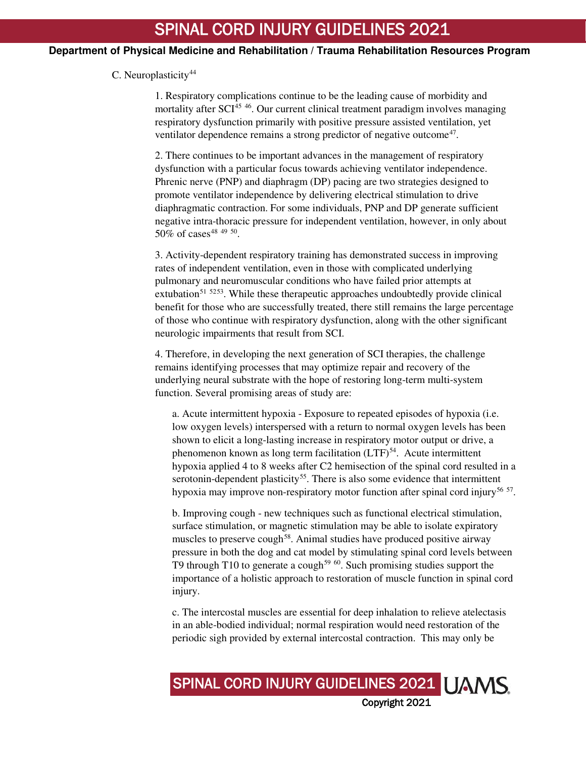## C. Neuroplasticity<sup>[44](#page-18-4)</sup>

1. Respiratory complications continue to be the leading cause of morbidity and mortality after SCI<sup>[45](#page-18-5) [46](#page-18-6)</sup>. Our current clinical treatment paradigm involves managing respiratory dysfunction primarily with positive pressure assisted ventilation, yet ventilator dependence remains a strong predictor of negative outcome<sup>[47](#page-18-7)</sup>.

2. There continues to be important advances in the management of respiratory dysfunction with a particular focus towards achieving ventilator independence. Phrenic nerve (PNP) and diaphragm (DP) pacing are two strategies designed to promote ventilator independence by delivering electrical stimulation to drive diaphragmatic contraction. For some individuals, PNP and DP generate sufficient negative intra-thoracic pressure for independent ventilation, however, in only about 50% of cases<sup>[48](#page-18-8) [49](#page-18-9) [50](#page-18-10)</sup>.

3. Activity-dependent respiratory training has demonstrated success in improving rates of independent ventilation, even in those with complicated underlying pulmonary and neuromuscular conditions who have failed prior attempts at extubation<sup>[51](#page-18-11) [52](#page-18-12)[53](#page-18-13)</sup>. While these therapeutic approaches undoubtedly provide clinical benefit for those who are successfully treated, there still remains the large percentage of those who continue with respiratory dysfunction, along with the other significant neurologic impairments that result from SCI.

4. Therefore, in developing the next generation of SCI therapies, the challenge remains identifying processes that may optimize repair and recovery of the underlying neural substrate with the hope of restoring long-term multi-system function. Several promising areas of study are:

a. Acute intermittent hypoxia - Exposure to repeated episodes of hypoxia (i.e. low oxygen levels) interspersed with a return to normal oxygen levels has been shown to elicit a long-lasting increase in respiratory motor output or drive, a phenomenon known as long term facilitation  $(LTF)^{54}$  $(LTF)^{54}$  $(LTF)^{54}$ . Acute intermittent hypoxia applied 4 to 8 weeks after C2 hemisection of the spinal cord resulted in a serotonin-dependent plasticity<sup>[55](#page-18-15)</sup>. There is also some evidence that intermittent hypoxia may improve non-respiratory motor function after spinal cord injury<sup>[56](#page-19-0) [57](#page-19-1)</sup>.

b. Improving cough - new techniques such as functional electrical stimulation, surface stimulation, or magnetic stimulation may be able to isolate expiratory muscles to preserve cough<sup>[58](#page-19-2)</sup>. Animal studies have produced positive airway pressure in both the dog and cat model by stimulating spinal cord levels between T9 through T10 to generate a cough<sup>[59](#page-19-3) [60](#page-19-4)</sup>. Such promising studies support the importance of a holistic approach to restoration of muscle function in spinal cord injury.

c. The intercostal muscles are essential for deep inhalation to relieve atelectasis in an able-bodied individual; normal respiration would need restoration of the periodic sigh provided by external intercostal contraction. This may only be

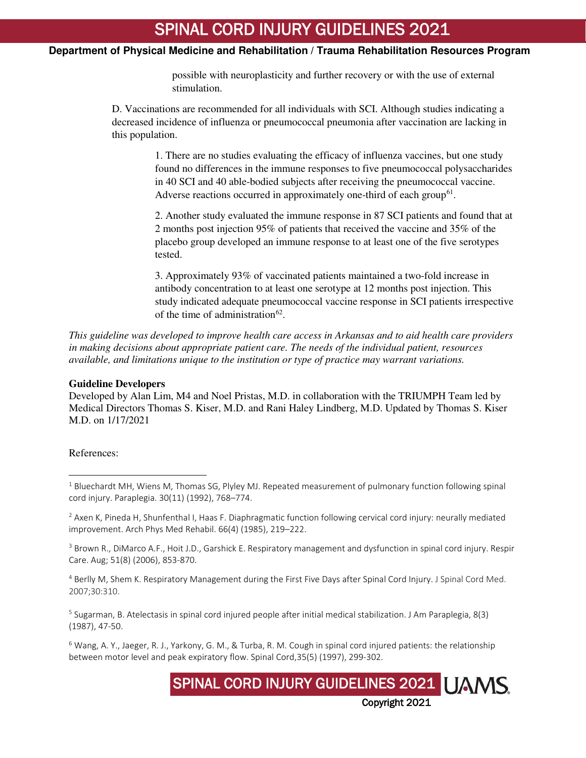## **Department of Physical Medicine and Rehabilitation / Trauma Rehabilitation Resources Program**

possible with neuroplasticity and further recovery or with the use of external stimulation.

D. Vaccinations are recommended for all individuals with SCI. Although studies indicating a decreased incidence of influenza or pneumococcal pneumonia after vaccination are lacking in this population.

> 1. There are no studies evaluating the efficacy of influenza vaccines, but one study found no differences in the immune responses to five pneumococcal polysaccharides in 40 SCI and 40 able-bodied subjects after receiving the pneumococcal vaccine. Adverse reactions occurred in approximately one-third of each group<sup>[61](#page-19-5)</sup>.

> 2. Another study evaluated the immune response in 87 SCI patients and found that at 2 months post injection 95% of patients that received the vaccine and 35% of the placebo group developed an immune response to at least one of the five serotypes tested.

> 3. Approximately 93% of vaccinated patients maintained a two-fold increase in antibody concentration to at least one serotype at 12 months post injection. This study indicated adequate pneumococcal vaccine response in SCI patients irrespective of the time of administration<sup>[62](#page-19-6)</sup>.

*This guideline was developed to improve health care access in Arkansas and to aid health care providers in making decisions about appropriate patient care. The needs of the individual patient, resources available, and limitations unique to the institution or type of practice may warrant variations.*

## **Guideline Developers**

Developed by Alan Lim, M4 and Noel Pristas, M.D. in collaboration with the TRIUMPH Team led by Medical Directors Thomas S. Kiser, M.D. and Rani Haley Lindberg, M.D. Updated by Thomas S. Kiser M.D. on 1/17/2021

References:

 $\overline{a}$ 

<span id="page-15-2"></span><sup>3</sup> Brown R., DiMarco A.F., Hoit J.D., Garshick E. Respiratory management and dysfunction in spinal cord injury. Respir Care. Aug; 51(8) (2006), 853-870.

<span id="page-15-3"></span><sup>4</sup> Berlly M, Shem K. Respiratory Management during the First Five Days after Spinal Cord Injury. J Spinal Cord Med. 2007;30:310.

<span id="page-15-4"></span><sup>5</sup> Sugarman, B. Atelectasis in spinal cord injured people after initial medical stabilization. J Am Paraplegia, 8(3) (1987), 47-50.

<span id="page-15-5"></span> $6$  Wang, A. Y., Jaeger, R. J., Yarkony, G. M., & Turba, R. M. Cough in spinal cord injured patients: the relationship between motor level and peak expiratory flow. Spinal Cord,35(5) (1997), 299-302.



<span id="page-15-0"></span><sup>&</sup>lt;sup>1</sup> Bluechardt MH, Wiens M, Thomas SG, Plyley MJ. Repeated measurement of pulmonary function following spinal cord injury. Paraplegia. 30(11) (1992), 768–774.

<span id="page-15-1"></span> $<sup>2</sup>$  Axen K, Pineda H, Shunfenthal I, Haas F. Diaphragmatic function following cervical cord injury: neurally mediated</sup> improvement. Arch Phys Med Rehabil. 66(4) (1985), 219–222.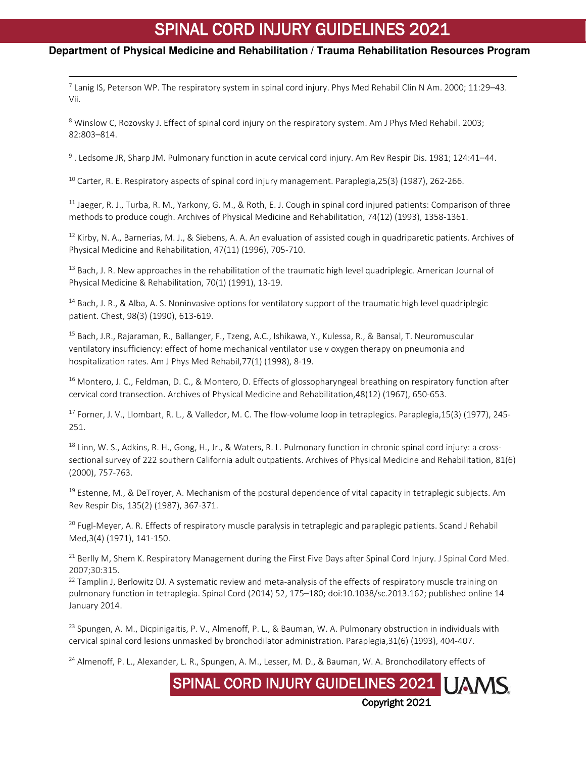## <span id="page-16-0"></span>**Department of Physical Medicine and Rehabilitation / Trauma Rehabilitation Resources Program**

<sup>7</sup> Lanig IS, Peterson WP. The respiratory system in spinal cord injury. Phys Med Rehabil Clin N Am. 2000; 11:29–43. Vii.

<span id="page-16-1"></span><sup>8</sup> Winslow C, Rozovsky J. Effect of spinal cord injury on the respiratory system. Am J Phys Med Rehabil. 2003; 82:803–814.

<span id="page-16-2"></span>9 . Ledsome JR, Sharp JM. Pulmonary function in acute cervical cord injury. Am Rev Respir Dis. 1981; 124:41–44.

<span id="page-16-3"></span><sup>10</sup> Carter, R. E. Respiratory aspects of spinal cord injury management. Paraplegia, 25(3) (1987), 262-266.

l

<span id="page-16-4"></span> $11$  Jaeger, R. J., Turba, R. M., Yarkony, G. M., & Roth, E. J. Cough in spinal cord injured patients: Comparison of three methods to produce cough. Archives of Physical Medicine and Rehabilitation, 74(12) (1993), 1358-1361.

<span id="page-16-5"></span> $12$  Kirby, N. A., Barnerias, M. J., & Siebens, A. A. An evaluation of assisted cough in quadriparetic patients. Archives of Physical Medicine and Rehabilitation, 47(11) (1996), 705-710.

<span id="page-16-6"></span><sup>13</sup> Bach, J. R. New approaches in the rehabilitation of the traumatic high level quadriplegic. American Journal of Physical Medicine & Rehabilitation, 70(1) (1991), 13-19.

<span id="page-16-7"></span> $14$  Bach, J. R., & Alba, A. S. Noninvasive options for ventilatory support of the traumatic high level quadriplegic patient. Chest, 98(3) (1990), 613-619.

<span id="page-16-8"></span><sup>15</sup> Bach, J.R., Rajaraman, R., Ballanger, F., Tzeng, A.C., Ishikawa, Y., Kulessa, R., & Bansal, T. Neuromuscular ventilatory insufficiency: effect of home mechanical ventilator use v oxygen therapy on pneumonia and hospitalization rates. Am J Phys Med Rehabil,77(1) (1998), 8-19.

<span id="page-16-9"></span><sup>16</sup> Montero, J. C., Feldman, D. C., & Montero, D. Effects of glossopharyngeal breathing on respiratory function after cervical cord transection. Archives of Physical Medicine and Rehabilitation,48(12) (1967), 650-653.

<span id="page-16-10"></span><sup>17</sup> Forner, J. V., Llombart, R. L., & Valledor, M. C. The flow-volume loop in tetraplegics. Paraplegia,15(3) (1977), 245-251.

<span id="page-16-11"></span><sup>18</sup> Linn, W. S., Adkins, R. H., Gong, H., Jr., & Waters, R. L. Pulmonary function in chronic spinal cord injury: a crosssectional survey of 222 southern California adult outpatients. Archives of Physical Medicine and Rehabilitation, 81(6) (2000), 757-763.

<span id="page-16-12"></span><sup>19</sup> Estenne, M., & DeTroyer, A. Mechanism of the postural dependence of vital capacity in tetraplegic subjects. Am Rev Respir Dis, 135(2) (1987), 367-371.

<span id="page-16-13"></span> $^{20}$  Fugl-Meyer, A. R. Effects of respiratory muscle paralysis in tetraplegic and paraplegic patients. Scand J Rehabil Med,3(4) (1971), 141-150.

<span id="page-16-14"></span><sup>21</sup> Berlly M, Shem K. Respiratory Management during the First Five Days after Spinal Cord Injury. J Spinal Cord Med. 2007;30:315.

<span id="page-16-15"></span> $^{22}$  Tamplin J, Berlowitz DJ. A systematic review and meta-analysis of the effects of respiratory muscle training on pulmonary function in tetraplegia. Spinal Cord (2014) 52, 175–180; doi:10.1038/sc.2013.162; published online 14 January 2014.

<span id="page-16-16"></span><sup>23</sup> Spungen, A. M., Dicpinigaitis, P. V., Almenoff, P. L., & Bauman, W. A. Pulmonary obstruction in individuals with cervical spinal cord lesions unmasked by bronchodilator administration. Paraplegia,31(6) (1993), 404-407.

SPINAL CORD INJURY GUIDELINES 2021 | IAMS

Copyright 2021

<span id="page-16-17"></span><sup>24</sup> Almenoff, P. L., Alexander, L. R., Spungen, A. M., Lesser, M. D., & Bauman, W. A. Bronchodilatory effects of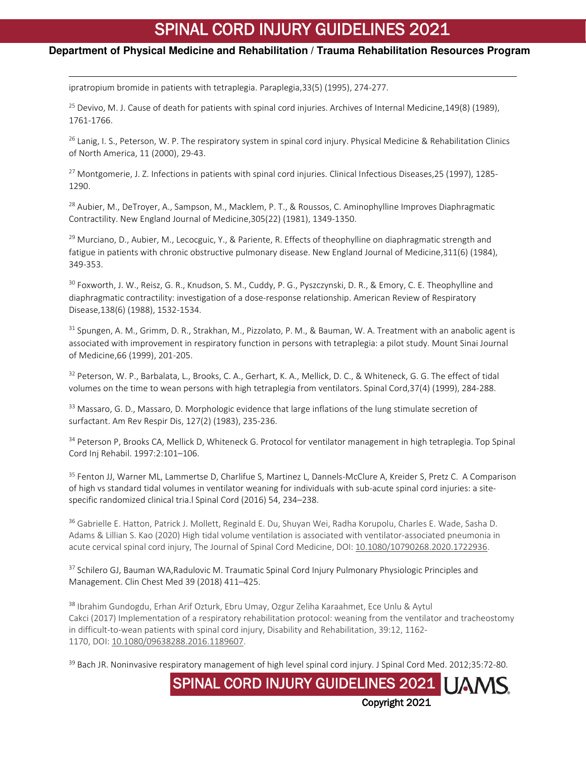## **Department of Physical Medicine and Rehabilitation / Trauma Rehabilitation Resources Program**

ipratropium bromide in patients with tetraplegia. Paraplegia,33(5) (1995), 274-277.

l

<span id="page-17-0"></span><sup>25</sup> Devivo, M. J. Cause of death for patients with spinal cord injuries. Archives of Internal Medicine, 149(8) (1989), 1761-1766.

<span id="page-17-1"></span> $26$  Lanig, I. S., Peterson, W. P. The respiratory system in spinal cord injury. Physical Medicine & Rehabilitation Clinics of North America, 11 (2000), 29-43.

<span id="page-17-2"></span><sup>27</sup> Montgomerie, J. Z. Infections in patients with spinal cord injuries. Clinical Infectious Diseases, 25 (1997), 1285-1290.

<span id="page-17-3"></span><sup>28</sup> Aubier, M., DeTroyer, A., Sampson, M., Macklem, P. T., & Roussos, C. Aminophylline Improves Diaphragmatic Contractility. New England Journal of Medicine,305(22) (1981), 1349-1350.

<span id="page-17-4"></span> $^{29}$  Murciano, D., Aubier, M., Lecocguic, Y., & Pariente, R. Effects of theophylline on diaphragmatic strength and fatigue in patients with chronic obstructive pulmonary disease. New England Journal of Medicine,311(6) (1984), 349-353.

<span id="page-17-5"></span><sup>30</sup> Foxworth, J. W., Reisz, G. R., Knudson, S. M., Cuddy, P. G., Pyszczynski, D. R., & Emory, C. E. Theophylline and diaphragmatic contractility: investigation of a dose-response relationship. American Review of Respiratory Disease,138(6) (1988), 1532-1534.

<span id="page-17-6"></span><sup>31</sup> Spungen, A. M., Grimm, D. R., Strakhan, M., Pizzolato, P. M., & Bauman, W. A. Treatment with an anabolic agent is associated with improvement in respiratory function in persons with tetraplegia: a pilot study. Mount Sinai Journal of Medicine,66 (1999), 201-205.

<span id="page-17-7"></span><sup>32</sup> Peterson, W. P., Barbalata, L., Brooks, C. A., Gerhart, K. A., Mellick, D. C., & Whiteneck, G. G. The effect of tidal volumes on the time to wean persons with high tetraplegia from ventilators. Spinal Cord,37(4) (1999), 284-288.

<span id="page-17-8"></span><sup>33</sup> Massaro, G. D., Massaro, D. Morphologic evidence that large inflations of the lung stimulate secretion of surfactant. Am Rev Respir Dis, 127(2) (1983), 235-236.

<span id="page-17-9"></span>34 Peterson P, Brooks CA, Mellick D, Whiteneck G. Protocol for ventilator management in high tetraplegia. Top Spinal Cord Inj Rehabil. 1997:2:101–106.

<span id="page-17-10"></span><sup>35</sup> Fenton JJ, Warner ML, Lammertse D, Charlifue S, Martinez L, Dannels-McClure A, Kreider S, Pretz C. A Comparison of high vs standard tidal volumes in ventilator weaning for individuals with sub-acute spinal cord injuries: a sitespecific randomized clinical tria.l Spinal Cord (2016) 54, 234–238.

<span id="page-17-11"></span><sup>36</sup> Gabrielle E. Hatton, Patrick J. Mollett, Reginald E. Du, Shuyan Wei, Radha Korupolu, Charles E. Wade, Sasha D. Adams & Lillian S. Kao (2020) High tidal volume ventilation is associated with ventilator-associated pneumonia in acute cervical spinal cord injury, The Journal of Spinal Cord Medicine, DOI: [10.1080/10790268.2020.1722936.](https://doi.org/10.1080/10790268.2020.1722936)

<span id="page-17-12"></span><sup>37</sup> Schilero GJ, Bauman WA, Radulovic M. Traumatic Spinal Cord Injury Pulmonary Physiologic Principles and Management. Clin Chest Med 39 (2018) 411–425.

<span id="page-17-13"></span><sup>38</sup> Ibrahim Gundogdu, Erhan Arif Ozturk, Ebru Umay, Ozgur Zeliha Karaahmet, Ece Unlu & Aytul Cakci (2017) Implementation of a respiratory rehabilitation protocol: weaning from the ventilator and tracheostomy in difficult-to-wean patients with spinal cord injury, Disability and Rehabilitation, 39:12, 1162- 1170, DOI: [10.1080/09638288.2016.1189607.](https://doi.org/10.1080/09638288.2016.1189607)

<span id="page-17-14"></span><sup>39</sup> Bach JR. Noninvasive respiratory management of high level spinal cord injury. J Spinal Cord Med. 2012;35:72-80.

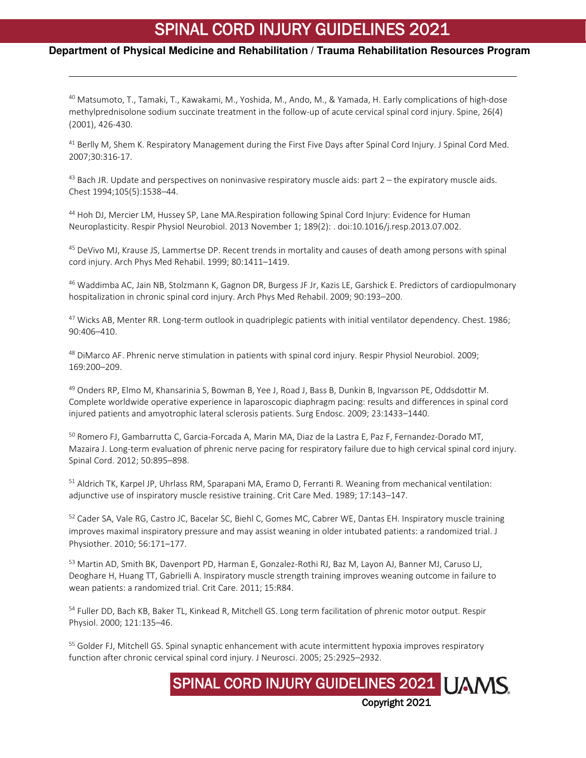## **Department of Physical Medicine and Rehabilitation / Trauma Rehabilitation Resources Program**

l

<span id="page-18-0"></span><sup>40</sup> Matsumoto, T., Tamaki, T., Kawakami, M., Yoshida, M., Ando, M., & Yamada, H. Early complications of high-dose methylprednisolone sodium succinate treatment in the follow-up of acute cervical spinal cord injury. Spine, 26(4) (2001), 426-430.

<span id="page-18-1"></span><sup>41</sup> Berlly M, Shem K. Respiratory Management during the First Five Days after Spinal Cord Injury. J Spinal Cord Med. 2007;30:316-17.

<span id="page-18-3"></span><span id="page-18-2"></span> $^{43}$  Bach JR. Update and perspectives on noninvasive respiratory muscle aids: part  $2$  – the expiratory muscle aids. Chest 1994;105(5):1538–44.

<span id="page-18-4"></span><sup>44</sup> Hoh DJ, Mercier LM, Hussey SP, Lane MA.Respiration following Spinal Cord Injury: Evidence for Human Neuroplasticity. Respir Physiol Neurobiol. 2013 November 1; 189(2): . doi:10.1016/j.resp.2013.07.002.

<span id="page-18-5"></span><sup>45</sup> DeVivo MJ, Krause JS, Lammertse DP. Recent trends in mortality and causes of death among persons with spinal cord injury. Arch Phys Med Rehabil. 1999; 80:1411–1419.

<span id="page-18-6"></span><sup>46</sup> Waddimba AC, Jain NB, Stolzmann K, Gagnon DR, Burgess JF Jr, Kazis LE, Garshick E. Predictors of cardiopulmonary hospitalization in chronic spinal cord injury. Arch Phys Med Rehabil. 2009; 90:193–200.

<span id="page-18-7"></span><sup>47</sup> Wicks AB, Menter RR. Long-term outlook in quadriplegic patients with initial ventilator dependency. Chest. 1986; 90:406–410.

<span id="page-18-8"></span><sup>48</sup> DiMarco AF. Phrenic nerve stimulation in patients with spinal cord injury. Respir Physiol Neurobiol. 2009; 169:200–209.

<span id="page-18-9"></span><sup>49</sup> Onders RP, Elmo M, Khansarinia S, Bowman B, Yee J, Road J, Bass B, Dunkin B, Ingvarsson PE, Oddsdottir M. Complete worldwide operative experience in laparoscopic diaphragm pacing: results and differences in spinal cord injured patients and amyotrophic lateral sclerosis patients. Surg Endosc. 2009; 23:1433–1440.

<span id="page-18-10"></span><sup>50</sup> Romero FJ, Gambarrutta C, Garcia-Forcada A, Marin MA, Diaz de la Lastra E, Paz F, Fernandez-Dorado MT, Mazaira J. Long-term evaluation of phrenic nerve pacing for respiratory failure due to high cervical spinal cord injury. Spinal Cord. 2012; 50:895–898.

<span id="page-18-11"></span><sup>51</sup> Aldrich TK, Karpel JP, Uhrlass RM, Sparapani MA, Eramo D, Ferranti R. Weaning from mechanical ventilation: adjunctive use of inspiratory muscle resistive training. Crit Care Med. 1989; 17:143–147.

<span id="page-18-12"></span>52 Cader SA, Vale RG, Castro JC, Bacelar SC, Biehl C, Gomes MC, Cabrer WE, Dantas EH. Inspiratory muscle training improves maximal inspiratory pressure and may assist weaning in older intubated patients: a randomized trial. J Physiother. 2010; 56:171–177.

<span id="page-18-13"></span>53 Martin AD, Smith BK, Davenport PD, Harman E, Gonzalez-Rothi RJ, Baz M, Layon AJ, Banner MJ, Caruso LJ, Deoghare H, Huang TT, Gabrielli A. Inspiratory muscle strength training improves weaning outcome in failure to wean patients: a randomized trial. Crit Care. 2011; 15:R84.

<span id="page-18-14"></span><sup>54</sup> Fuller DD, Bach KB, Baker TL, Kinkead R, Mitchell GS. Long term facilitation of phrenic motor output. Respir Physiol. 2000; 121:135–46.

<span id="page-18-15"></span><sup>55</sup> Golder FJ, Mitchell GS. Spinal synaptic enhancement with acute intermittent hypoxia improves respiratory function after chronic cervical spinal cord injury. J Neurosci. 2005; 25:2925–2932.